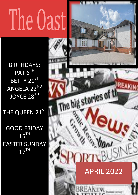# The Oast

BIRTHDAYS: PAT 6TH BETTY 21<sup>ST</sup> ANGELA 22ND JOYCE 28TH

THE QUEEN 21ST

GOOD FRIDAY  $15$ <sup>TH</sup> EASTER SUNDAY  $17$ <sup>TH</sup>

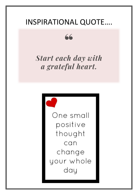### **INSPIRATIONAL QUOTE....**



## **Start each day with** a grateful heart.

One small positive thought can change your whole day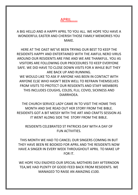#### APRIL……

A BIG HELLO AND A HAPPY APRIL TO YOU ALL. WE HOPE YOU HAVE A WONDERFUL EASTER AND CHERISH THOSE FAMILY MEMORIES YOU MAKE.

HERE AT THE OAST WE'VE BEEN TRYING OUR BEST TO KEEP THE RESIDENTS HAPPY AND ENTERTAINED WITH THE AWFUL NERO VIRUS AROUND OUR RESIDENTS ARE FINE AND WE ARE THANKFUL. YOU AS VISITORS ARE FOLLOWING OUR PROCEDURES TO KEEP EVERYONE SAFE. WE DID HAVE TO CLOSE DOWN VISITS FOR A WHILE BUT THEY ARE BACK UP AND RUNNING.

WE WOULD LIKE TO ASK IF ANYONE HAS BEEN IN CONTACT WITH ANYONE ELSE WHO HASN'T BEEN WELL TO REFRAIN THEMSELVES FROM VISITS TO PROTECT OUR RESIDENTS AND STAFF MEMBERS THIS INCLUDES COUGHS, COLDS, FLU, COVID, SICKNESS AND DIARRHOEA.

THE CHURCH SERVICE LADY CAME IN TO VISIT THE HOME THIS MONTH AND SHE READ OUT HER STORY FROM THE BIBLE. RESIDENTS GOT A BIT MESSY WITH THE ART AND CRAFTS SESSION AS IT WENT ALONG SIDE THE STORY FROM THE BIBLE.

RESIDENTS CELEBRATED ST PATRICKS DAY WITH A DAY OF FUN ACTIVITIES.

THIS MONTH WE HAD TO CANCEL OUR SINGERS COMING IN BUT THEY HAVE BEEN RE BOOKED FOR APRIL AND THE RESIDENTS NOW HAVE A SINGER IN EVERY WEEK THROUGHOUT APRIL TO MAKE UP FOR IT.

WE HOPE YOU ENJOYED OUR SPECIAL MOTHERS DAY AFTERNOON TEA,WE HAD PLENTY OF GOOD FEED BACK FROM RESIDENTS. WE MANAGED TO RAISE AN AMAZING £100.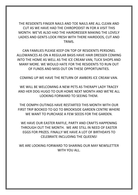THE RESIDENTS FINGER NAILS AND TOE NAILS ARE ALL CLEAN AND CUT AS WE HAVE HAD THE CHIROPODIST IN FOR A VISIT THIS MONTH. WE'VE ALSO HAD THE HAIRDRESSER MAKING THE LOVELY LADIES AND GENTS LOOK FRESH WITH THERE HAIRDOOS, CUT AND TRIMS.

CAN FAMILIES PLEASE KEEP ON TOP OF RESIDENTS PERSONEL ALLOWANCES AS ON A REGULAR BASIS HAVE HAIR DRESSER COMING INTO THE HOME AS WELL AS THE ICE CREAM VAN, TUCK SHOPS AND MANY MORE. WE WOULD HATE FOR THE RESIDENTS TO RUN OUT OF FUNDS AND MISS OUT ON THESE OPPORTUNITIES.

COMING UP WE HAVE THE RETURN OF AMBERS ICE CREAM VAN.

WE WILL BE WELCOMING A NEW PETS AS THERAPY LADY TRACEY AND HER DOG HUGO TO OUR HOME NEXT MONTH AND WE'RE ALL LOOKING FORWARD TO SEEING THEM.

THE OOMPH OUTINGS HAVE RESTARTED THIS MONTH WITH OUR FIRST TRIP BOOKED TO GO TO BROOKSIDE GARDEN CENTRE WHERE WE WANT TO PURCHASE A FEW SEEDS FOR THE GARDEN.

WE HAVE OUR EASTER RAFFLE, PARTY AND CRAFTS HAPPENING THROUGH OUT THE MONTH. WE ARE STILL IN NEED OF EASTER EGGS FOR PRIZES. FINALLY WE HAVE A LOT OF BIRTHDAYS TO CELEBRATE INCLUDING THE QUEENS!

WE ARE LOOKING FORWARD TO SHARING OUR MAY NEWSLETTER WITH YOU ALL.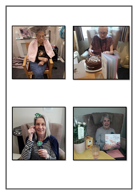





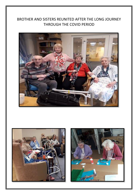#### BROTHER AND SISTERS REUNITED AFTER THE LONG JOURNEY THROUGH THE COVID PERIOD





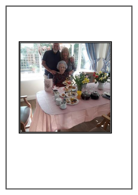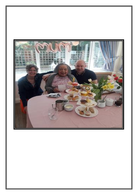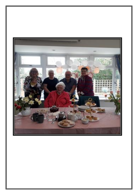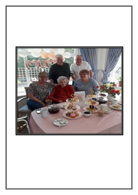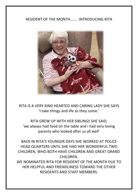#### RESIDENT OF THE MONTH……. INTRODUCING RITA



RITA IS A VERY KIND HEARTED AND CARING LADY SHE SAYS 'I take things and life as they come.'

RITA GREW UP WITH HER SIBLINGS SHE SAID, 'we always had food on the table and i had very loving parents who looked after us all well'

BACK IN RITA'S YOUNGER DAYS SHE WORKED AT POLICE HEAD QUARTERS UNTIL SHE HAD HER WONDERFUL TWO CHILDREN, WHO BOTH HAVE CHILDREN AND GREAT GRAND CHILDREN.

WE NOMINATED RITA FOR RESIDENT OF THE MONTH DUE TO HER HELPFUL AND FRIENDLINESS TOWARD THE OTHER RESIDENTS AND STAFF MEMBERS.